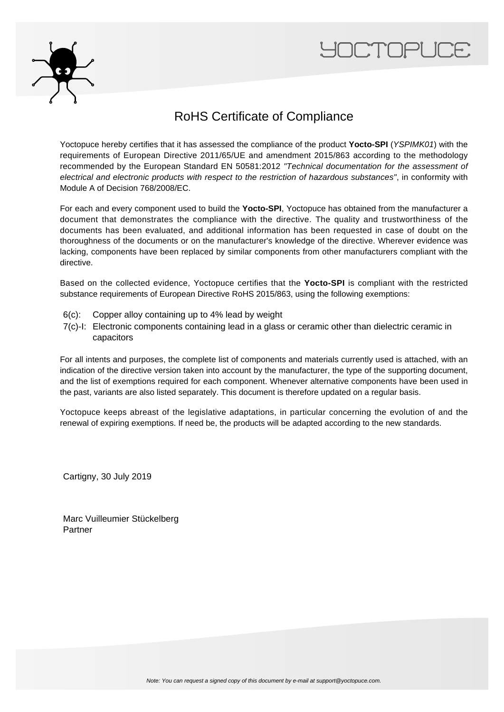



### RoHS Certificate of Compliance

Yoctopuce hereby certifies that it has assessed the compliance of the product **Yocto-SPI** (YSPIMK01) with the requirements of European Directive 2011/65/UE and amendment 2015/863 according to the methodology recommended by the European Standard EN 50581:2012 "Technical documentation for the assessment of electrical and electronic products with respect to the restriction of hazardous substances", in conformity with Module A of Decision 768/2008/EC.

For each and every component used to build the **Yocto-SPI**, Yoctopuce has obtained from the manufacturer a document that demonstrates the compliance with the directive. The quality and trustworthiness of the documents has been evaluated, and additional information has been requested in case of doubt on the thoroughness of the documents or on the manufacturer's knowledge of the directive. Wherever evidence was lacking, components have been replaced by similar components from other manufacturers compliant with the directive.

Based on the collected evidence, Yoctopuce certifies that the **Yocto-SPI** is compliant with the restricted substance requirements of European Directive RoHS 2015/863, using the following exemptions:

- 6(c): Copper alloy containing up to 4% lead by weight
- 7(c)-I: Electronic components containing lead in a glass or ceramic other than dielectric ceramic in capacitors

For all intents and purposes, the complete list of components and materials currently used is attached, with an indication of the directive version taken into account by the manufacturer, the type of the supporting document, and the list of exemptions required for each component. Whenever alternative components have been used in the past, variants are also listed separately. This document is therefore updated on a regular basis.

Yoctopuce keeps abreast of the legislative adaptations, in particular concerning the evolution of and the renewal of expiring exemptions. If need be, the products will be adapted according to the new standards.

Cartigny, 30 July 2019

Marc Vuilleumier Stückelberg Partner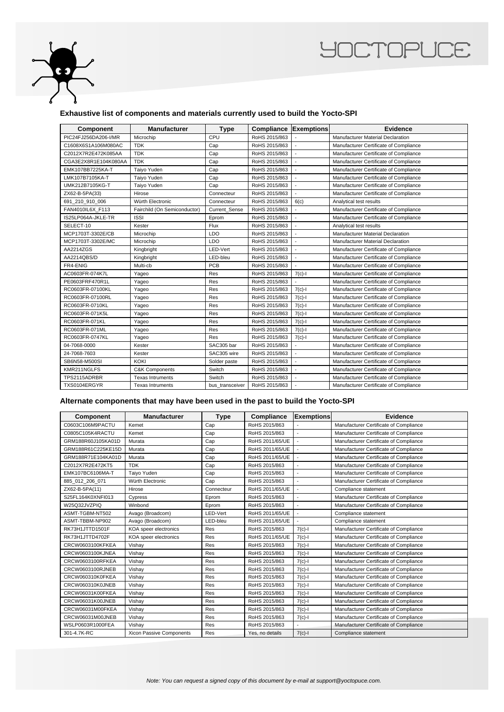

## **YOCTOPUCE**

#### **Exhaustive list of components and materials currently used to build the Yocto-SPI**

| Component            | <b>Manufacturer</b>          | <b>Type</b>     | <b>Compliance Exemptions</b> |                | <b>Evidence</b>                          |
|----------------------|------------------------------|-----------------|------------------------------|----------------|------------------------------------------|
| PIC24FJ256DA206-I/MR | Microchip                    | CPU             | RoHS 2015/863                |                | <b>Manufacturer Material Declaration</b> |
| C1608X6S1A106M080AC  | <b>TDK</b>                   | Cap             | RoHS 2015/863                |                | Manufacturer Certificate of Compliance   |
| C2012X7R2E472K085AA  | <b>TDK</b>                   | Cap             | RoHS 2015/863                |                | Manufacturer Certificate of Compliance   |
| CGA3E2X8R1E104K080AA | <b>TDK</b>                   | Cap             | RoHS 2015/863                |                | Manufacturer Certificate of Compliance   |
| EMK107BB7225KA-T     | Taiyo Yuden                  | Cap             | RoHS 2015/863                |                | Manufacturer Certificate of Compliance   |
| LMK107B7105KA-T      | Taivo Yuden                  | Cap             | RoHS 2015/863                | $\overline{a}$ | Manufacturer Certificate of Compliance   |
| UMK212B7105KG-T      | Taiyo Yuden                  | Cap             | RoHS 2015/863                |                | Manufacturer Certificate of Compliance   |
| ZX62-B-5PA(33)       | Hirose                       | Connecteur      | RoHS 2015/863                |                | Manufacturer Certificate of Compliance   |
| 691 210 910 006      | Würth Electronic             | Connecteur      | RoHS 2015/863                | 6(c)           | Analytical test results                  |
| FAN4010IL6X F113     | Fairchild (On Semiconductor) | Current Sense   | RoHS 2015/863                | $\blacksquare$ | Manufacturer Certificate of Compliance   |
| IS25LP064A-JKLE-TR   | <b>ISSI</b>                  | Eprom           | RoHS 2015/863                |                | Manufacturer Certificate of Compliance   |
| SELECT-10            | Kester                       | Flux            | RoHS 2015/863                |                | Analytical test results                  |
| MCP1703T-3302E/CB    | Microchip                    | LDO             | RoHS 2015/863                |                | <b>Manufacturer Material Declaration</b> |
| MCP1703T-3302E/MC    | Microchip                    | LDO             | RoHS 2015/863                |                | <b>Manufacturer Material Declaration</b> |
| AA2214ZGS            | Kingbright                   | LED-Vert        | RoHS 2015/863                |                | Manufacturer Certificate of Compliance   |
| AA2214QBS/D          | Kingbright                   | LED-bleu        | RoHS 2015/863                |                | Manufacturer Certificate of Compliance   |
| FR4-ENIG             | Multi-cb                     | <b>PCB</b>      | RoHS 2015/863                |                | Manufacturer Certificate of Compliance   |
| AC0603FR-074K7L      | Yageo                        | Res             | RoHS 2015/863                | $7(c) - 1$     | Manufacturer Certificate of Compliance   |
| PE0603FRF470R1L      | Yageo                        | Res             | RoHS 2015/863                |                | Manufacturer Certificate of Compliance   |
| RC0603FR-07100KL     | Yageo                        | Res             | RoHS 2015/863                | $7(c)-1$       | Manufacturer Certificate of Compliance   |
| RC0603FR-07100RL     | Yageo                        | Res             | RoHS 2015/863                | $7(c) -$       | Manufacturer Certificate of Compliance   |
| RC0603FR-0710KL      | Yageo                        | Res             | RoHS 2015/863                | $7(c)-1$       | Manufacturer Certificate of Compliance   |
| RC0603FR-071K5L      | Yageo                        | Res             | RoHS 2015/863                | $7(c)-1$       | Manufacturer Certificate of Compliance   |
| RC0603FR-071KL       | Yageo                        | Res             | RoHS 2015/863                | $7(c)-1$       | Manufacturer Certificate of Compliance   |
| RC0603FR-071ML       | Yageo                        | Res             | RoHS 2015/863                | $7(c)-1$       | Manufacturer Certificate of Compliance   |
| RC0603FR-0747KL      | Yageo                        | Res             | RoHS 2015/863                | $7(c)-1$       | Manufacturer Certificate of Compliance   |
| 04-7068-0000         | Kester                       | SAC305 bar      | RoHS 2015/863                |                | Manufacturer Certificate of Compliance   |
| 24-7068-7603         | Kester                       | SAC305 wire     | RoHS 2015/863                |                | Manufacturer Certificate of Compliance   |
| SB6N58-M500SI        | <b>KOKI</b>                  | Solder paste    | RoHS 2015/863                |                | Manufacturer Certificate of Compliance   |
| KMR211NGLFS          | C&K Components               | Switch          | RoHS 2015/863                |                | Manufacturer Certificate of Compliance   |
| TPS2115ADRBR         | <b>Texas Intruments</b>      | Switch          | RoHS 2015/863                |                | Manufacturer Certificate of Compliance   |
| TXS0104ERGYR         | <b>Texas Intruments</b>      | bus transceiver | RoHS 2015/863                |                | Manufacturer Certificate of Compliance   |

#### **Alternate components that may have been used in the past to build the Yocto-SPI**

| Component          | <b>Manufacturer</b>      | <b>Type</b> | Compliance      | <b>Exemptions</b> | <b>Evidence</b>                        |
|--------------------|--------------------------|-------------|-----------------|-------------------|----------------------------------------|
| C0603C106M9PACTU   | Kemet                    | Cap         | RoHS 2015/863   |                   | Manufacturer Certificate of Compliance |
| C0805C105K4RACTU   | Kemet                    | Cap         | RoHS 2015/863   | ٠                 | Manufacturer Certificate of Compliance |
| GRM188R60J105KA01D | Murata                   | Cap         | RoHS 2011/65/UE |                   | Manufacturer Certificate of Compliance |
| GRM188R61C225KE15D | Murata                   | Cap         | RoHS 2011/65/UE |                   | Manufacturer Certificate of Compliance |
| GRM188R71E104KA01D | Murata                   | Cap         | RoHS 2011/65/UE |                   | Manufacturer Certificate of Compliance |
| C2012X7R2E472KT5   | <b>TDK</b>               | Cap         | RoHS 2015/863   |                   | Manufacturer Certificate of Compliance |
| EMK107BC6106MA-T   | Taivo Yuden              | Cap         | RoHS 2015/863   |                   | Manufacturer Certificate of Compliance |
| 885 012 206 071    | Würth Electronic         | Cap         | RoHS 2015/863   |                   | Manufacturer Certificate of Compliance |
| ZX62-B-5PA(11)     | Hirose                   | Connecteur  | RoHS 2011/65/UE |                   | Compliance statement                   |
| S25FL164K0XNFI013  | Cypress                  | Eprom       | RoHS 2015/863   | ÷.                | Manufacturer Certificate of Compliance |
| W25Q32JVZPIQ       | Winbond                  | Eprom       | RoHS 2015/863   |                   | Manufacturer Certificate of Compliance |
| ASMT-TGBM-NT502    | Avago (Broadcom)         | LED-Vert    | RoHS 2011/65/UE |                   | Compliance statement                   |
| ASMT-TBBM-NP902    | Avago (Broadcom)         | LED-bleu    | RoHS 2011/65/UE |                   | Compliance statement                   |
| RK73H1JTTD1501F    | KOA speer electronics    | Res         | RoHS 2015/863   | $7(c)$ -l         | Manufacturer Certificate of Compliance |
| RK73H1JTTD4702F    | KOA speer electronics    | Res         | RoHS 2011/65/UE | $7(c)$ -l         | Manufacturer Certificate of Compliance |
| CRCW0603100KFKEA   | Vishav                   | Res         | RoHS 2015/863   | $7(c)$ -l         | Manufacturer Certificate of Compliance |
| CRCW0603100KJNEA   | Vishay                   | Res         | RoHS 2015/863   | $7(c)$ -l         | Manufacturer Certificate of Compliance |
| CRCW0603100RFKEA   | Vishay                   | Res         | RoHS 2015/863   | $7(c)$ -l         | Manufacturer Certificate of Compliance |
| CRCW0603100RJNEB   | Vishay                   | Res         | RoHS 2015/863   | $7(c)$ -l         | Manufacturer Certificate of Compliance |
| CRCW060310K0FKEA   | Vishay                   | Res         | RoHS 2015/863   | $7(c)$ -l         | Manufacturer Certificate of Compliance |
| CRCW060310K0JNEB   | Vishay                   | Res         | RoHS 2015/863   | $7(c)$ -l         | Manufacturer Certificate of Compliance |
| CRCW06031K00FKEA   | Vishay                   | Res         | RoHS 2015/863   | $7(c)$ -l         | Manufacturer Certificate of Compliance |
| CRCW06031K00JNEB   | Vishay                   | Res         | RoHS 2015/863   | $7(c)$ -l         | Manufacturer Certificate of Compliance |
| CRCW06031M00FKEA   | Vishay                   | Res         | RoHS 2015/863   | $7(c)$ -l         | Manufacturer Certificate of Compliance |
| CRCW06031M00JNEB   | Vishay                   | Res         | RoHS 2015/863   | $7(c)$ -l         | Manufacturer Certificate of Compliance |
| WSLP0603R1000FEA   | Vishay                   | Res         | RoHS 2015/863   |                   | Manufacturer Certificate of Compliance |
| 301-4.7K-RC        | Xicon Passive Components | Res         | Yes, no details | $7(c)$ -l         | Compliance statement                   |